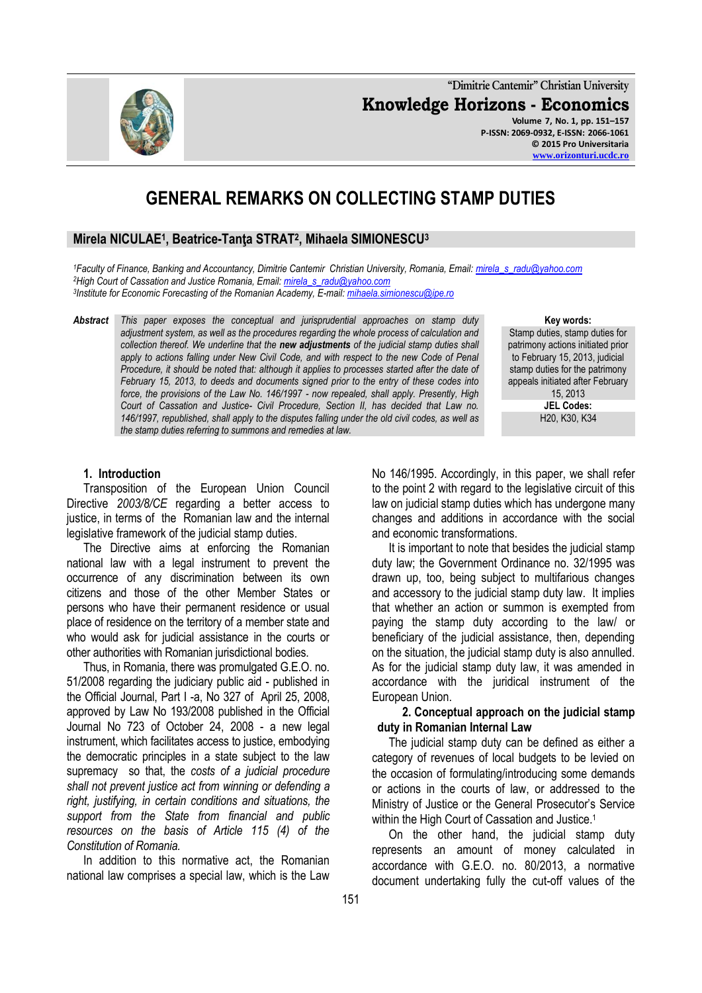**"Dimitrie Cantemir" Christian University Knowledge Horizons - Economics Volume 7, No. 1, pp. 151–157 P-ISSN: 2069-0932, E-ISSN: 2066-1061 © 2015 Pro Universitaria**

# **GENERAL REMARKS ON COLLECTING STAMP DUTIES**

# **Mirela NICULAE<sup>1</sup> , Beatrice-Tanţa STRAT<sup>2</sup> , Mihaela SIMIONESCU<sup>3</sup>**

*<sup>1</sup>Faculty of Finance, Banking and Accountancy, Dimitrie Cantemir Christian University, Romania, Email: [mirela\\_s\\_radu@yahoo.com](mailto:mirela_s_radu@yahoo.com) <sup>2</sup>High Court of Cassation and Justice Romania, Email: [mirela\\_s\\_radu@yahoo.com](mailto:mirela_s_radu@yahoo.com) 3 Institute for Economic Forecasting of the Romanian Academy, E-mail[: mihaela.simionescu@ipe.ro](mailto:mihaela.simionescu@ipe.ro)*

*Abstract This paper exposes the conceptual and jurisprudential approaches on stamp duty adjustment system, as well as the procedures regarding the whole process of calculation and collection thereof. We underline that the new adjustments of the judicial stamp duties shall*  apply to actions falling under New Civil Code, and with respect to the new Code of Penal *Procedure, it should be noted that: although it applies to processes started after the date of February 15, 2013, to deeds and documents signed prior to the entry of these codes into force, the provisions of the Law No. 146/1997 - now repealed, shall apply. Presently, High Court of Cassation and Justice- Civil Procedure, Section II, has decided that Law no. 146/1997, republished, shall apply to the disputes falling under the old civil codes, as well as the stamp duties referring to summons and remedies at law.*

#### **Key words:**

Stamp duties, stamp duties for patrimony actions initiated prior to February 15, 2013, judicial stamp duties for the patrimony appeals initiated after February 15, 2013 **JEL Codes:** H20, K30, K34

### **1. Introduction**

Transposition of the European Union Council Directive *2003/8/CE* regarding a better access to justice, in terms of the Romanian law and the internal legislative framework of the judicial stamp duties.

The Directive aims at enforcing the Romanian national law with a legal instrument to prevent the occurrence of any discrimination between its own citizens and those of the other Member States or persons who have their permanent residence or usual place of residence on the territory of a member state and who would ask for judicial assistance in the courts or other authorities with Romanian jurisdictional bodies.

Thus, in Romania, there was promulgated G.E.O. no. 51/2008 regarding the judiciary public aid - published in the Official Journal, Part I -a, No 327 of April 25, 2008, approved by Law No 193/2008 published in the Official Journal No 723 of October 24, 2008 - a new legal instrument, which facilitates access to justice, embodying the democratic principles in a state subject to the law supremacy so that, the *costs of a judicial procedure shall not prevent justice act from winning or defending a right, justifying, in certain conditions and situations, the support from the State from financial and public resources on the basis of Article 115 (4) of the Constitution of Romania.*

In addition to this normative act, the Romanian national law comprises a special law, which is the Law No 146/1995. Accordingly, in this paper, we shall refer to the point 2 with regard to the legislative circuit of this law on judicial stamp duties which has undergone many changes and additions in accordance with the social and economic transformations.

It is important to note that besides the judicial stamp duty law; the Government Ordinance no. 32/1995 was drawn up, too, being subject to multifarious changes and accessory to the judicial stamp duty law. It implies that whether an action or summon is exempted from paying the stamp duty according to the law/ or beneficiary of the judicial assistance, then, depending on the situation, the judicial stamp duty is also annulled. As for the judicial stamp duty law, it was amended in accordance with the juridical instrument of the European Union.

# **2. Conceptual approach on the judicial stamp duty in Romanian Internal Law**

The judicial stamp duty can be defined as either a category of revenues of local budgets to be levied on the occasion of formulating/introducing some demands or actions in the courts of law, or addressed to the Ministry of Justice or the General Prosecutor's Service within the High Court of Cassation and Justice.<sup>1</sup>

On the other hand, the judicial stamp duty represents an amount of money calculated in accordance with G.E.O. no. 80/2013, a normative document undertaking fully the cut-off values of the

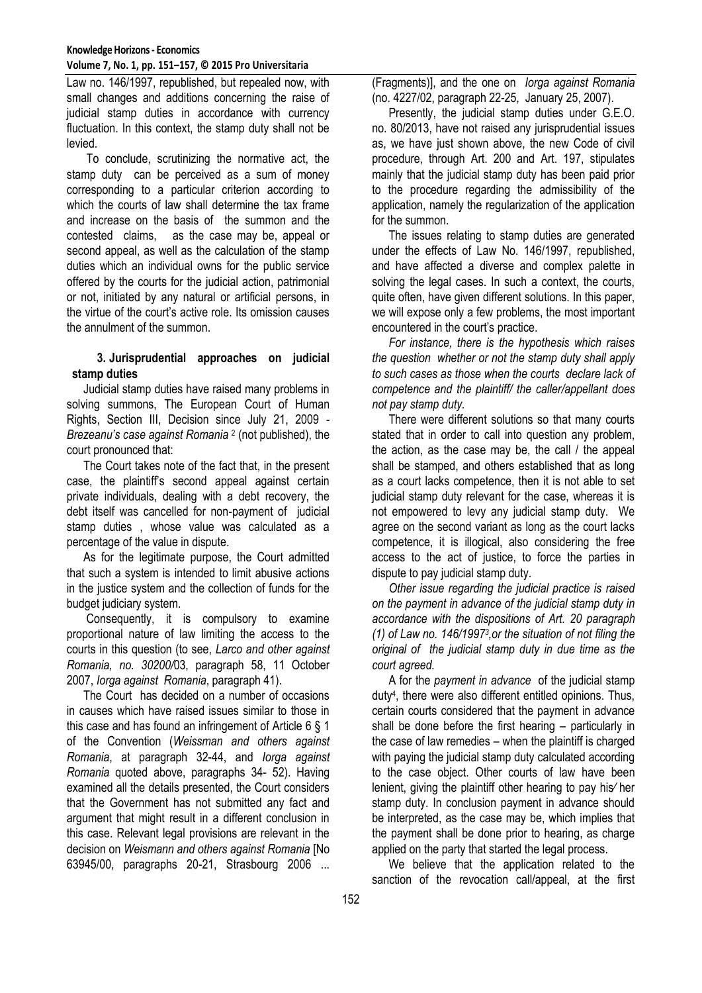Law no. 146/1997, republished, but repealed now, with small changes and additions concerning the raise of judicial stamp duties in accordance with currency fluctuation. In this context, the stamp duty shall not be levied.

To conclude, scrutinizing the normative act, the stamp duty can be perceived as a sum of money corresponding to a particular criterion according to which the courts of law shall determine the tax frame and increase on the basis of the summon and the contested claims, as the case may be, appeal or second appeal, as well as the calculation of the stamp duties which an individual owns for the public service offered by the courts for the judicial action, patrimonial or not, initiated by any natural or artificial persons, in the virtue of the court's active role. Its omission causes the annulment of the summon.

# **3. Jurisprudential approaches on judicial stamp duties**

Judicial stamp duties have raised many problems in solving summons, The European Court of Human Rights, Section III, Decision since July 21, 2009 - *Brezeanu's case against Romania* <sup>2</sup> (not published), the court pronounced that:

The Court takes note of the fact that, in the present case, the plaintiff's second appeal against certain private individuals, dealing with a debt recovery, the debt itself was cancelled for non-payment of judicial stamp duties , whose value was calculated as a percentage of the value in dispute.

As for the legitimate purpose, the Court admitted that such a system is intended to limit abusive actions in the justice system and the collection of funds for the budget judiciary system.

Consequently, it is compulsory to examine proportional nature of law limiting the access to the courts in this question (to see, *Larco and other against Romania, no. 30200/*03, paragraph 58, 11 October 2007, *Iorga against Romania*, paragraph 41).

The Court has decided on a number of occasions in causes which have raised issues similar to those in this case and has found an infringement of Article 6 § 1 of the Convention (*Weissman and others against Romania*, at paragraph 32-44, and *Iorga against Romania* quoted above, paragraphs 34- 52). Having examined all the details presented, the Court considers that the Government has not submitted any fact and argument that might result in a different conclusion in this case. Relevant legal provisions are relevant in the decision on *Weismann and others against Romania* [No 63945/00, paragraphs 20-21, Strasbourg 2006 ...

(Fragments)], and the one on *Iorga against Romania* (no. 4227/02, paragraph 22-25, January 25, 2007).

Presently, the judicial stamp duties under G.E.O. no. 80/2013, have not raised any jurisprudential issues as, we have just shown above, the new Code of civil procedure, through Art. 200 and Art. 197, stipulates mainly that the judicial stamp duty has been paid prior to the procedure regarding the admissibility of the application, namely the regularization of the application for the summon.

The issues relating to stamp duties are generated under the effects of Law No. 146/1997, republished, and have affected a diverse and complex palette in solving the legal cases. In such a context, the courts, quite often, have given different solutions. In this paper, we will expose only a few problems, the most important encountered in the court's practice.

*For instance, there is the hypothesis which raises the question whether or not the stamp duty shall apply to such cases as those when the courts declare lack of competence and the plaintiff/ the caller/appellant does not pay stamp duty.*

There were different solutions so that many courts stated that in order to call into question any problem, the action, as the case may be, the call / the appeal shall be stamped, and others established that as long as a court lacks competence, then it is not able to set judicial stamp duty relevant for the case, whereas it is not empowered to levy any judicial stamp duty. We agree on the second variant as long as the court lacks competence, it is illogical, also considering the free access to the act of justice, to force the parties in dispute to pay judicial stamp duty.

*Other issue regarding the judicial practice is raised on the payment in advance of the judicial stamp duty in accordance with the dispositions of Art. 20 paragraph*  (1) of Law no. 146/1997<sup>3</sup>, or the situation of not filing the *original of the judicial stamp duty in due time as the court agreed.* 

A for the *payment in advance* of the judicial stamp duty<sup>4</sup> , there were also different entitled opinions. Thus, certain courts considered that the payment in advance shall be done before the first hearing – particularly in the case of law remedies – when the plaintiff is charged with paying the judicial stamp duty calculated according to the case object. Other courts of law have been lenient, giving the plaintiff other hearing to pay his∕ her stamp duty. In conclusion payment in advance should be interpreted, as the case may be, which implies that the payment shall be done prior to hearing, as charge applied on the party that started the legal process.

We believe that the application related to the sanction of the revocation call/appeal, at the first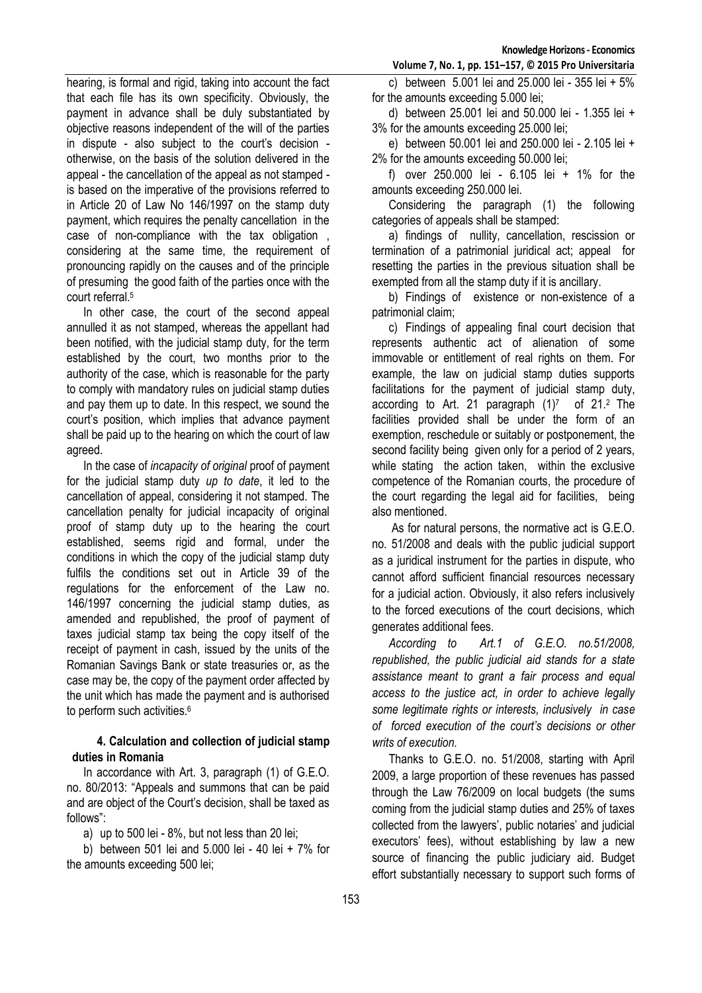hearing, is formal and rigid, taking into account the fact that each file has its own specificity. Obviously, the payment in advance shall be duly substantiated by objective reasons independent of the will of the parties in dispute - also subject to the court's decision otherwise, on the basis of the solution delivered in the appeal - the cancellation of the appeal as not stamped is based on the imperative of the provisions referred to in Article 20 of Law No 146/1997 on the stamp duty payment, which requires the penalty cancellation in the case of non-compliance with the tax obligation , considering at the same time, the requirement of pronouncing rapidly on the causes and of the principle of presuming the good faith of the parties once with the court referral.<sup>5</sup>

In other case, the court of the second appeal annulled it as not stamped, whereas the appellant had been notified, with the judicial stamp duty, for the term established by the court, two months prior to the authority of the case, which is reasonable for the party to comply with mandatory rules on judicial stamp duties and pay them up to date. In this respect, we sound the court's position, which implies that advance payment shall be paid up to the hearing on which the court of law agreed.

In the case of *incapacity of original* proof of payment for the judicial stamp duty *up to date*, it led to the cancellation of appeal, considering it not stamped. The cancellation penalty for judicial incapacity of original proof of stamp duty up to the hearing the court established, seems rigid and formal, under the conditions in which the copy of the judicial stamp duty fulfils the conditions set out in Article 39 of the regulations for the enforcement of the Law no. 146/1997 concerning the judicial stamp duties, as amended and republished, the proof of payment of taxes judicial stamp tax being the copy itself of the receipt of payment in cash, issued by the units of the Romanian Savings Bank or state treasuries or, as the case may be, the copy of the payment order affected by the unit which has made the payment and is authorised to perform such activities.<sup>6</sup>

# **4. Calculation and collection of judicial stamp duties in Romania**

In accordance with Art. 3, paragraph (1) of G.E.O. no. 80/2013: "Appeals and summons that can be paid and are object of the Court's decision, shall be taxed as follows":

a) up to 500 lei - 8%, but not less than 20 lei;

b) between 501 lei and 5.000 lei - 40 lei + 7% for the amounts exceeding 500 lei;

c) between 5.001 lei and 25.000 lei - 355 lei + 5% for the amounts exceeding 5.000 lei;

d) between 25.001 lei and 50.000 lei - 1.355 lei + 3% for the amounts exceeding 25.000 lei;

e) between 50.001 lei and 250.000 lei - 2.105 lei + 2% for the amounts exceeding 50.000 lei;

f) over 250.000 lei - 6.105 lei + 1% for the amounts exceeding 250.000 lei.

Considering the paragraph (1) the following categories of appeals shall be stamped:

a) findings of nullity, cancellation, rescission or termination of a patrimonial juridical act; appeal for resetting the parties in the previous situation shall be exempted from all the stamp duty if it is ancillary.

b) Findings of existence or non-existence of a patrimonial claim;

c) Findings of appealing final court decision that represents authentic act of alienation of some immovable or entitlement of real rights on them. For example, the law on judicial stamp duties supports facilitations for the payment of judicial stamp duty, according to Art. 21 paragraph  $(1)^7$  of 21.<sup>2</sup> The facilities provided shall be under the form of an exemption, reschedule or suitably or postponement, the second facility being given only for a period of 2 years, while stating the action taken, within the exclusive competence of the Romanian courts, the procedure of the court regarding the legal aid for facilities, being also mentioned.

As for natural persons, the normative act is G.E.O. no. 51/2008 and deals with the public judicial support as a juridical instrument for the parties in dispute, who cannot afford sufficient financial resources necessary for a judicial action. Obviously, it also refers inclusively to the forced executions of the court decisions, which generates additional fees.

*According to Art.1 of G.E.O. no.51/2008, republished, the public judicial aid stands for a state assistance meant to grant a fair process and equal access to the justice act, in order to achieve legally some legitimate rights or interests, inclusively in case of forced execution of the court's decisions or other writs of execution.*

Thanks to G.E.O. no. 51/2008, starting with April 2009, a large proportion of these revenues has passed through the Law 76/2009 on local budgets (the sums coming from the judicial stamp duties and 25% of taxes collected from the lawyers', public notaries' and judicial executors' fees), without establishing by law a new source of financing the public judiciary aid. Budget effort substantially necessary to support such forms of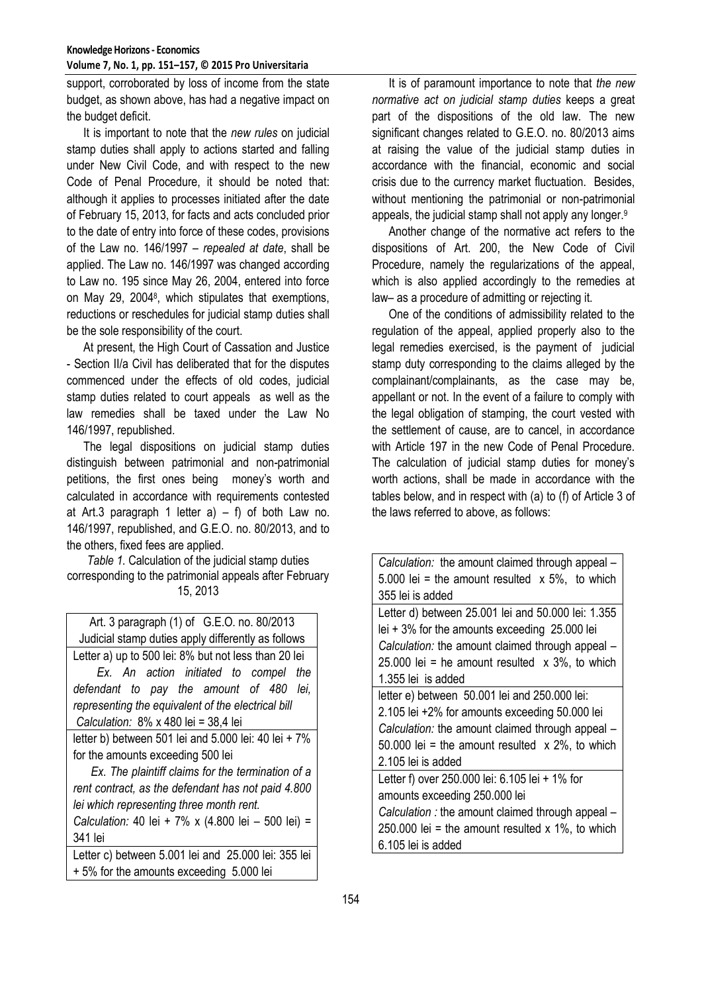#### **Knowledge Horizons - Economics Volume 7, No. 1, pp. 151–157, © 2015 Pro Universitaria**

support, corroborated by loss of income from the state budget, as shown above, has had a negative impact on the budget deficit.

It is important to note that the *new rules* on judicial stamp duties shall apply to actions started and falling under New Civil Code, and with respect to the new Code of Penal Procedure, it should be noted that: although it applies to processes initiated after the date of February 15, 2013, for facts and acts concluded prior to the date of entry into force of these codes, provisions of the Law no. 146/1997 – *repealed at date*, shall be applied. The Law no. 146/1997 was changed according to Law no. 195 since May 26, 2004, entered into force on May 29, 2004<sup>8</sup>, which stipulates that exemptions, reductions or reschedules for judicial stamp duties shall be the sole responsibility of the court.

At present, the High Court of Cassation and Justice - Section II/a Civil has deliberated that for the disputes commenced under the effects of old codes, judicial stamp duties related to court appeals as well as the law remedies shall be taxed under the Law No 146/1997, republished.

The legal dispositions on judicial stamp duties distinguish between patrimonial and non-patrimonial petitions, the first ones being money's worth and calculated in accordance with requirements contested at Art.3 paragraph 1 letter  $a$ ) – f) of both Law no. 146/1997, republished, and G.E.O. no. 80/2013, and to the others, fixed fees are applied.

*Table 1.* Calculation of the judicial stamp duties corresponding to the patrimonial appeals after February 15, 2013

Art. 3 paragraph (1) of G.E.O. no. 80/2013 Judicial stamp duties apply differently as follows Letter a) up to 500 lei: 8% but not less than 20 lei *Ex. An action initiated to compel the defendant to pay the amount of 480 lei, representing the equivalent of the electrical bill Calculation:*8% x 480 lei = 38,4 lei letter b) between 501 lei and 5.000 lei: 40 lei + 7% for the amounts exceeding 500 lei *Ex. The plaintiff claims for the termination of a rent contract, as the defendant has not paid 4.800 lei which representing three month rent. Calculation:* 40 lei + 7% x (4.800 lei – 500 lei) =

341 lei Letter c) between 5.001 lei and 25.000 lei: 355 lei + 5% for the amounts exceeding 5.000 lei

It is of paramount importance to note that *the new normative act on judicial stamp duties* keeps a great part of the dispositions of the old law. The new significant changes related to G.E.O. no. 80/2013 aims at raising the value of the judicial stamp duties in accordance with the financial, economic and social crisis due to the currency market fluctuation. Besides, without mentioning the patrimonial or non-patrimonial appeals, the judicial stamp shall not apply any longer.<sup>9</sup>

Another change of the normative act refers to the dispositions of Art. 200, the New Code of Civil Procedure, namely the regularizations of the appeal, which is also applied accordingly to the remedies at law– as a procedure of admitting or rejecting it.

One of the conditions of admissibility related to the regulation of the appeal, applied properly also to the legal remedies exercised, is the payment of judicial stamp duty corresponding to the claims alleged by the complainant/complainants, as the case may be, appellant or not. In the event of a failure to comply with the legal obligation of stamping, the court vested with the settlement of cause, are to cancel, in accordance with Article 197 in the new Code of Penal Procedure. The calculation of judicial stamp duties for money's worth actions, shall be made in accordance with the tables below, and in respect with (a) to (f) of Article 3 of the laws referred to above, as follows:

| Calculation: the amount claimed through appeal –       |
|--------------------------------------------------------|
| 5.000 lei = the amount resulted $\times$ 5%, to which  |
| 355 lei is added                                       |
| Letter d) between 25.001 lei and 50.000 lei: 1.355     |
| lei $+3\%$ for the amounts exceeding 25.000 lei        |
| Calculation: the amount claimed through appeal -       |
| 25.000 lei = he amount resulted $\times$ 3%, to which  |
| 1.355 lei is added                                     |
| letter e) between 50.001 lei and 250.000 lei:          |
| 2.105 lei +2% for amounts exceeding 50.000 lei         |
| Calculation: the amount claimed through appeal -       |
| 50.000 lei = the amount resulted $\times$ 2%, to which |
| 2.105 lei is added                                     |
| Letter f) over 250.000 lei: 6.105 lei + 1% for         |
| amounts exceeding 250.000 lei                          |
| Calculation : the amount claimed through appeal -      |
| 250.000 lei = the amount resulted $x$ 1%, to which     |
| 6.105 lei is added                                     |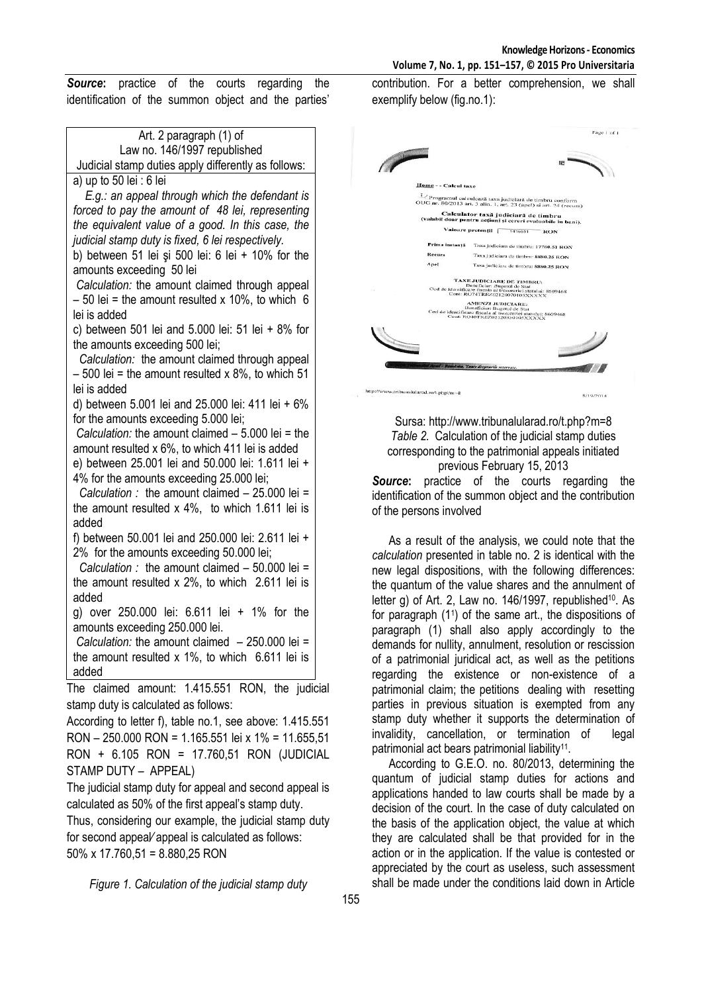*Source***:** practice of the courts regarding the identification of the summon object and the parties'

| Art. 2 paragraph (1) of                                                          |  |
|----------------------------------------------------------------------------------|--|
| Law no. 146/1997 republished                                                     |  |
| Judicial stamp duties apply differently as follows:                              |  |
| a) up to 50 lei : 6 lei                                                          |  |
| E.g.: an appeal through which the defendant is                                   |  |
| forced to pay the amount of 48 lei, representing                                 |  |
| the equivalent value of a good. In this case, the                                |  |
| judicial stamp duty is fixed, 6 lei respectively.                                |  |
| b) between 51 lei și 500 lei: 6 lei + 10% for the                                |  |
| amounts exceeding 50 lei                                                         |  |
| Calculation: the amount claimed through appeal                                   |  |
| $-50$ lei = the amount resulted x 10%, to which 6                                |  |
| lei is added                                                                     |  |
| c) between 501 lei and 5.000 lei: 51 lei + 8% for                                |  |
| the amounts exceeding 500 lei;<br>Calculation: the amount claimed through appeal |  |
| $-500$ lei = the amount resulted x 8%, to which 51                               |  |
| lei is added                                                                     |  |
| d) between 5.001 lei and 25.000 lei: 411 lei + 6%                                |  |
| for the amounts exceeding 5.000 lei;                                             |  |
| Calculation: the amount claimed $-5.000$ lei = the                               |  |
| amount resulted x 6%, to which 411 lei is added                                  |  |
| e) between 25.001 lei and 50.000 lei: 1.611 lei +                                |  |
| 4% for the amounts exceeding 25.000 lei;                                         |  |
| Calculation : the amount claimed $-25.000$ lei =                                 |  |
| the amount resulted $x$ 4%, to which 1.611 lei is                                |  |
| added                                                                            |  |
| f) between 50.001 lei and 250.000 lei: 2.611 lei +                               |  |
| 2% for the amounts exceeding 50.000 lei;                                         |  |
| Calculation : the amount claimed $-50.000$ lei =                                 |  |
| the amount resulted $x$ 2%, to which 2.611 lei is                                |  |
| added                                                                            |  |
| g) over 250.000 lei: 6.611 lei + 1% for the                                      |  |
| amounts exceeding 250.000 lei.                                                   |  |
| Calculation: the amount claimed $-250.000$ lei =                                 |  |
| the amount resulted $x$ 1%, to which 6.611 lei is                                |  |
| added                                                                            |  |
| The claimed amount: 1.415.551 RON, the judicial                                  |  |
| stamp duty is calculated as follows:                                             |  |
| According to letter f), table no.1, see above: 1.415.551                         |  |
| RON - 250.000 RON = 1.165.551 lei x 1% = 11.655,51                               |  |
| RON + 6.105 RON = 17.760,51 RON (JUDICIAL                                        |  |

STAMP DUTY – APPEAL)

The judicial stamp duty for appeal and second appeal is calculated as 50% of the first appeal's stamp duty.

Thus, considering our example, the judicial stamp duty for second appeal∕ appeal is calculated as follows: 50% x 17.760,51 = 8.880,25 RON

*Figure 1. Calculation of the judicial stamp duty*

contribution. For a better comprehension, we shall exemplify below (fig.no.1):

|                    |                      |                                                                                                                                | Page 1 of 1 |
|--------------------|----------------------|--------------------------------------------------------------------------------------------------------------------------------|-------------|
|                    |                      |                                                                                                                                |             |
|                    |                      | iE.                                                                                                                            |             |
|                    | Home - - Calcul taxe |                                                                                                                                |             |
|                    |                      | 1/ Programul calculcază taxa judiciară de timbru conform<br>OUG nr. 80/2013 art. 3 alin. 1, art. 23 (apel) si art. 24 (recurs) |             |
|                    |                      | Calculator taxă judiciară de timbru<br>(valabil doar pentru acțiuni și cereri evaluabile în bani).                             |             |
|                    |                      | Valoare pretenții [<br>1415551<br><b>RON</b>                                                                                   |             |
|                    | Prima instanță       | Taxa judiciara de timbru: 17760.51 RON                                                                                         |             |
|                    | <b>Recurs</b>        | Taxa judiciara de timbra: 8880.25 RON                                                                                          |             |
|                    | Anel                 | Taxa judiciara de timbra: 8880.25 RON                                                                                          |             |
|                    |                      | TAXE JUDICIARE DE TIMBRU:<br>Beneficiar: Bugetul de Stat                                                                       |             |
|                    |                      | Cod de identificare fiscala al trezoreriei statului: 8609468<br>Cont: RO74TREZ02120070103XXXXX                                 |             |
|                    |                      | <b>AMENZI JUDICIARE:</b><br>Beneficiar: Bugetul de Stat                                                                        |             |
|                    |                      | Cod de identificare fiscala al trezoreriei statului: 8609468<br>Cont: RO40TREZ02120350105XXXXX                                 |             |
|                    |                      |                                                                                                                                |             |
| <b>Supermanuel</b> |                      |                                                                                                                                |             |
|                    |                      |                                                                                                                                |             |
|                    |                      |                                                                                                                                |             |

Sursa:<http://www.tribunalularad.ro/t.php?m=8> *Table 2.* Calculation of the judicial stamp duties corresponding to the patrimonial appeals initiated previous February 15, 2013

8/19/2014

http://www.tribunalularad.ro/t.php?m=8

*Source***:** practice of the courts regarding the identification of the summon object and the contribution of the persons involved

As a result of the analysis, we could note that the *calculation* presented in table no. 2 is identical with the new legal dispositions, with the following differences: the quantum of the value shares and the annulment of letter g) of Art. 2, Law no. 146/1997, republished<sup>10</sup>. As for paragraph (1<sup>1</sup> ) of the same art., the dispositions of paragraph (1) shall also apply accordingly to the demands for nullity, annulment, resolution or rescission of a patrimonial juridical act, as well as the petitions regarding the existence or non-existence of a patrimonial claim; the petitions dealing with resetting parties in previous situation is exempted from any stamp duty whether it supports the determination of invalidity, cancellation, or termination of legal patrimonial act bears patrimonial liability<sup>11</sup>.

According to G.E.O. no. 80/2013, determining the quantum of judicial stamp duties for actions and applications handed to law courts shall be made by a decision of the court. In the case of duty calculated on the basis of the application object, the value at which they are calculated shall be that provided for in the action or in the application. If the value is contested or appreciated by the court as useless, such assessment shall be made under the conditions laid down in Article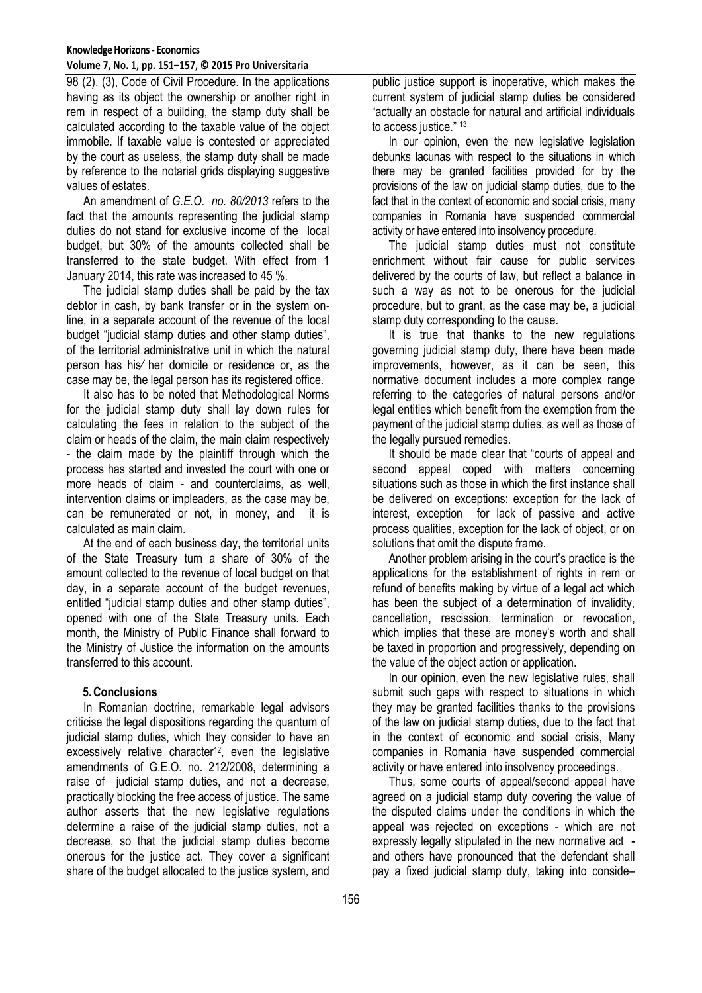#### **Knowledge Horizons - Economics Volume 7, No. 1, pp. 151–157, © 2015 Pro Universitaria**

98 (2). (3), Code of Civil Procedure. In the applications having as its object the ownership or another right in rem in respect of a building, the stamp duty shall be calculated according to the taxable value of the object immobile. If taxable value is contested or appreciated by the court as useless, the stamp duty shall be made by reference to the notarial grids displaying suggestive values of estates.

An amendment of *G.E.O. no. 80/2013* refers to the fact that the amounts representing the judicial stamp duties do not stand for exclusive income of the local budget, but 30% of the amounts collected shall be transferred to the state budget. With effect from 1 January 2014, this rate was increased to 45 %.

The judicial stamp duties shall be paid by the tax debtor in cash, by bank transfer or in the system online, in a separate account of the revenue of the local budget "judicial stamp duties and other stamp duties", of the territorial administrative unit in which the natural person has his∕ her domicile or residence or, as the case may be, the legal person has its registered office.

It also has to be noted that Methodological Norms for the judicial stamp duty shall lay down rules for calculating the fees in relation to the subject of the claim or heads of the claim, the main claim respectively - the claim made by the plaintiff through which the process has started and invested the court with one or more heads of claim - and counterclaims, as well, intervention claims or impleaders, as the case may be, can be remunerated or not, in money, and it is calculated as main claim.

At the end of each business day, the territorial units of the State Treasury turn a share of 30% of the amount collected to the revenue of local budget on that day, in a separate account of the budget revenues, entitled "judicial stamp duties and other stamp duties", opened with one of the State Treasury units. Each month, the Ministry of Public Finance shall forward to the Ministry of Justice the information on the amounts transferred to this account.

# **5.Conclusions**

In Romanian doctrine, remarkable legal advisors criticise the legal dispositions regarding the quantum of judicial stamp duties, which they consider to have an excessively relative character<sup>12</sup>, even the legislative amendments of G.E.O. no. 212/2008, determining a raise of judicial stamp duties, and not a decrease, practically blocking the free access of justice. The same author asserts that the new legislative regulations determine a raise of the judicial stamp duties, not a decrease, so that the judicial stamp duties become onerous for the justice act. They cover a significant share of the budget allocated to the justice system, and

public justice support is inoperative, which makes the current system of judicial stamp duties be considered "actually an obstacle for natural and artificial individuals to access justice." 13

In our opinion, even the new legislative legislation debunks lacunas with respect to the situations in which there may be granted facilities provided for by the provisions of the law on judicial stamp duties, due to the fact that in the context of economic and social crisis, many companies in Romania have suspended commercial activity or have entered into insolvency procedure.

The judicial stamp duties must not constitute enrichment without fair cause for public services delivered by the courts of law, but reflect a balance in such a way as not to be onerous for the judicial procedure, but to grant, as the case may be, a judicial stamp duty corresponding to the cause.

It is true that thanks to the new regulations governing judicial stamp duty, there have been made improvements, however, as it can be seen, this normative document includes a more complex range referring to the categories of natural persons and/or legal entities which benefit from the exemption from the payment of the judicial stamp duties, as well as those of the legally pursued remedies.

It should be made clear that "courts of appeal and second appeal coped with matters concerning situations such as those in which the first instance shall be delivered on exceptions: exception for the lack of interest, exception for lack of passive and active process qualities, exception for the lack of object, or on solutions that omit the dispute frame.

Another problem arising in the court's practice is the applications for the establishment of rights in rem or refund of benefits making by virtue of a legal act which has been the subject of a determination of invalidity, cancellation, rescission, termination or revocation, which implies that these are money's worth and shall be taxed in proportion and progressively, depending on the value of the object action or application.

In our opinion, even the new legislative rules, shall submit such gaps with respect to situations in which they may be granted facilities thanks to the provisions of the law on judicial stamp duties, due to the fact that in the context of economic and social crisis, Many companies in Romania have suspended commercial activity or have entered into insolvency proceedings.

Thus, some courts of appeal/second appeal have agreed on a judicial stamp duty covering the value of the disputed claims under the conditions in which the appeal was rejected on exceptions - which are not expressly legally stipulated in the new normative act and others have pronounced that the defendant shall pay a fixed judicial stamp duty, taking into conside–